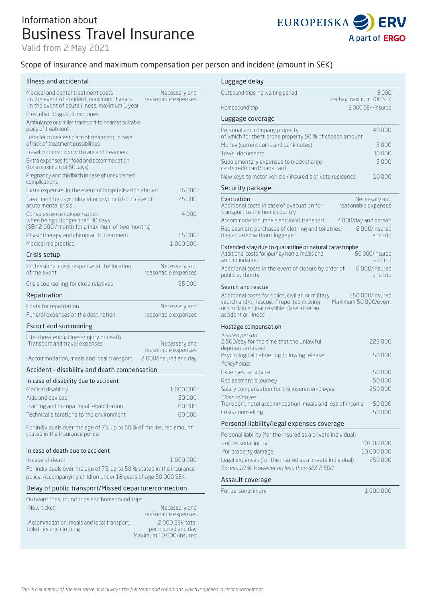# Information about Business Travel Insurance

Valid from 2 May 2021



# Scope of insurance and maximum compensation per pers

### Illness and accidental

| Medical and dental treatment costs<br>-in the event of accident, maximum 3 years<br>-in the event of acute illness, maximum 1 year | Necessary and<br>reasonable expenses |
|------------------------------------------------------------------------------------------------------------------------------------|--------------------------------------|
| Prescribed drugs and medicines                                                                                                     |                                      |
| Ambulance or similar transport to nearest suitable<br>place of treatment                                                           |                                      |
| Transfer to nearest place of treatment, in case<br>of lack of treatment possibilities                                              |                                      |
| Travel in connection with care and treatment                                                                                       |                                      |
| Extra expenses for food and accommodation<br>(for a maximum of 60 days)                                                            |                                      |
| Pregnancy and childbirth in case of unexpected<br>complications                                                                    |                                      |
| Extra expenses in the event of hospitalisation abroad                                                                              | 36000                                |
| Treatment by psychologist or psychiatrist in case of<br>acute mental crisis                                                        | 25 000                               |
| Convalescence compensation<br>when being ill longer than 30 days<br>(SEK 2000 / month for a maximum of two months)                 | 4000                                 |
| Physiotherapy and chiropractic treatment                                                                                           | 15000                                |
| Medical malpractice                                                                                                                | 1 000 000                            |
| Crisis setup                                                                                                                       |                                      |
| Professional crisis response at the location<br>of the event                                                                       | Necessary and<br>reasonable expenses |
| Crisis counselling for close relatives                                                                                             | 25 000                               |
| Repatriation                                                                                                                       |                                      |
| Costs for repatriation                                                                                                             | Necessary and                        |
| Funeral expenses at the destination                                                                                                | reasonable expenses                  |
| Escort and summoning                                                                                                               |                                      |
| Life-threatening illness/injury or death<br>-Transport and travel expenses                                                         | Necessary and<br>reasonable expenses |
| -Accommodation, meals and local transport                                                                                          | 2000/insured and day                 |
| Accident - disability and death compensation                                                                                       |                                      |
| In case of disability due to accident                                                                                              |                                      |
| Medical disability                                                                                                                 | 1000000                              |
| Aids and devices                                                                                                                   | 50000                                |
| Training and occupational rehabilitation                                                                                           | 60 000                               |
| Technical alterations to the environment                                                                                           | 60000                                |
| For individuals over the age of 75, up to 50 % of the insured amount<br>stated in the insurance policy.                            |                                      |
| In case of death due to accident                                                                                                   |                                      |

### In case of death 1 000 000 For individuals over the age of 75, up to 50 % stated in the insurance

policy. Accompanying children under 18 years of age 50 000 SEK.

### Delay of public transport/Missed departure/connection

| Outward trips, round trips and homebound trips |                        |
|------------------------------------------------|------------------------|
| -New ticket                                    | Necessary and          |
|                                                | reasonable expenses    |
| -Accommodation, meals and local transport,     | 2000 SEK total         |
| toiletries and clothing                        | per insured and day    |
|                                                | Maximum 10 000/insured |

| son and incident (amount in SEK)                                                                                                                                                                               |  |
|----------------------------------------------------------------------------------------------------------------------------------------------------------------------------------------------------------------|--|
| Luggage delay                                                                                                                                                                                                  |  |
| Outbound trips, no waiting period<br>3 000                                                                                                                                                                     |  |
| Per bag maximum 700 SEK<br>2000 SEK/insured<br>Homebound trip                                                                                                                                                  |  |
|                                                                                                                                                                                                                |  |
| Luggage coverage                                                                                                                                                                                               |  |
| 40000<br>Personal and company property<br>of which for theft-prone property 50 % of chosen amount                                                                                                              |  |
| Money (current coins and bank notes)<br>5000                                                                                                                                                                   |  |
| 30000<br>Travel documents                                                                                                                                                                                      |  |
| 5000<br>Supplementary expenses to block charge<br>card/credit card/bank card                                                                                                                                   |  |
| New keys to motor vehicle / insured's private residence<br>10000                                                                                                                                               |  |
| Security package                                                                                                                                                                                               |  |
| Evacuation<br>Necessary and                                                                                                                                                                                    |  |
| Additional costs in case of evacuation for<br>reasonable expenses<br>transport to the home country                                                                                                             |  |
| Accommodation, meals and local transport<br>2000/day and person                                                                                                                                                |  |
| Replacement purchases of clothing and toiletries,<br>6000/insured<br>if evacuated without luggage<br>and trip                                                                                                  |  |
| Extended stay due to quarantine or natural catastrophe<br>50 000/insured<br>Additional costs for journey home, meals and<br>accommodation<br>and trip                                                          |  |
| Additional costs in the event of closure by order of<br>6000/insured<br>public authority<br>and trip                                                                                                           |  |
| Search and rescue                                                                                                                                                                                              |  |
| Additional costs for police, civilian or military<br>250 000/insured<br>Maximum 50 000/event<br>search and/or rescue, if reported missing<br>or stuck in an inaccessible place after an<br>accident or illness |  |
| Hostage compensation                                                                                                                                                                                           |  |
| Insured person<br>2,500/day for the time that the unlawful<br>225 000                                                                                                                                          |  |
| deprivation lasted<br>50000<br>Psychological debriefing following release                                                                                                                                      |  |
| Policyholder                                                                                                                                                                                                   |  |
| Expenses for advice<br>50000                                                                                                                                                                                   |  |
| 50000<br>Replacement's journey                                                                                                                                                                                 |  |
| Salary compensation for the insured employee<br>250000<br>Close relatives                                                                                                                                      |  |
| Transport, hotel accommodation, meals and loss of income<br>50000                                                                                                                                              |  |
| Crisis counselling<br>50000                                                                                                                                                                                    |  |
| Personal liability/legal expenses coverage                                                                                                                                                                     |  |
| Personal liability (for the insured as a private individual)                                                                                                                                                   |  |
| -for personal injury<br>10 000 000                                                                                                                                                                             |  |
| -for property damage<br>10 000 000<br>250000                                                                                                                                                                   |  |
| Legal expenses (for the insured as a private individual)<br>Excess 10 %. However no less than SEK 2 500                                                                                                        |  |
| Assault coverage                                                                                                                                                                                               |  |

For personal injury 1 000 000